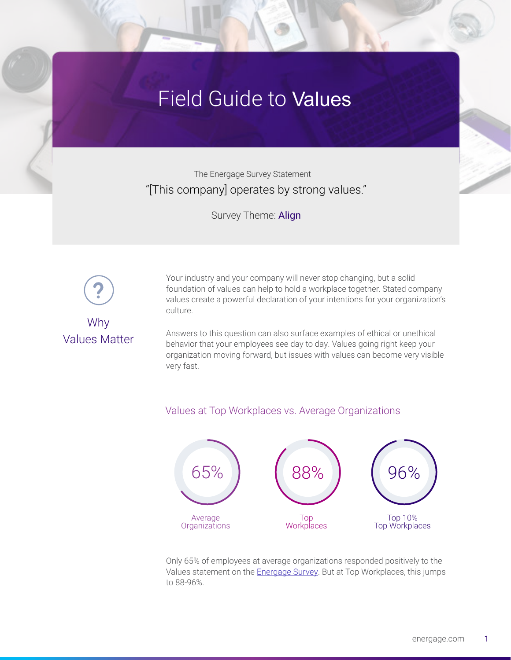## Field Guide to Values

The Energage Survey Statement "[This company] operates by strong values."

Survey Theme: Align



Why Values Matter Your industry and your company will never stop changing, but a solid foundation of values can help to hold a workplace together. Stated company values create a powerful declaration of your intentions for your organization's culture.

Answers to this question can also surface examples of ethical or unethical behavior that your employees see day to day. Values going right keep your organization moving forward, but issues with values can become very visible very fast.





Only 65% of employees at average organizations responded positively to the Values statement on the [Energage Survey](http://www.energage.com/survey). But at Top Workplaces, this jumps to 88-96%.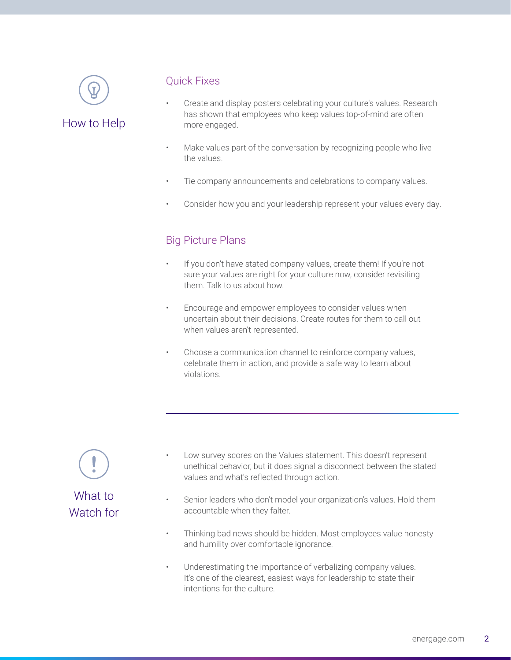

How to Help

## Quick Fixes

- Create and display posters celebrating your culture's values. Research has shown that employees who keep values top-of-mind are often more engaged.
- Make values part of the conversation by recognizing people who live the values.
- Tie company announcements and celebrations to company values.
- Consider how you and your leadership represent your values every day.

## Big Picture Plans

- If you don't have stated company values, create them! If you're not sure your values are right for your culture now, consider revisiting them. Talk to us about how.
- Encourage and empower employees to consider values when uncertain about their decisions. Create routes for them to call out when values aren't represented.
- Choose a communication channel to reinforce company values, celebrate them in action, and provide a safe way to learn about violations.

What to Watch for

- Low survey scores on the Values statement. This doesn't represent unethical behavior, but it does signal a disconnect between the stated values and what's reflected through action.
- Senior leaders who don't model your organization's values. Hold them accountable when they falter.
- Thinking bad news should be hidden. Most employees value honesty and humility over comfortable ignorance.
- Underestimating the importance of verbalizing company values. It's one of the clearest, easiest ways for leadership to state their intentions for the culture.